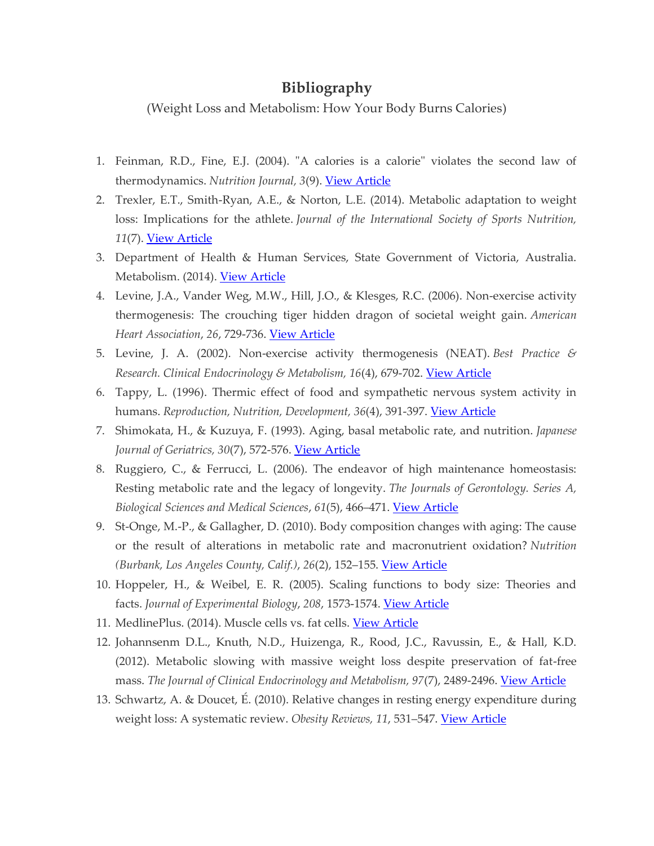## **Bibliography**

(Weight Loss and Metabolism: How Your Body Burns Calories)

- 1. Feinman, R.D., Fine, E.J. (2004). "A calories is a calorie" violates the second law of thermodynamics. *Nutrition Journal, 3*(9). [View Article](http://www.ncbi.nlm.nih.gov/pmc/articles/PMC506782/)
- 2. Trexler, E.T., Smith-Ryan, A.E., & Norton, L.E. (2014). Metabolic adaptation to weight loss: Implications for the athlete. *Journal of the International Society of Sports Nutrition, 11*(7). [View Article](https://jissn.biomedcentral.com/articles/10.1186/1550-2783-11-7)
- 3. Department of Health & Human Services, State Government of Victoria, Australia. Metabolism. (2014). [View Article](https://www.betterhealth.vic.gov.au/health/conditionsandtreatments/metabolism)
- 4. Levine, J.A., Vander Weg, M.W., Hill, J.O., & Klesges, R.C. (2006). Non-exercise activity thermogenesis: The crouching tiger hidden dragon of societal weight gain. *American Heart Association*, *26*, 729-736. [View Article](http://atvb.ahajournals.org/content/26/4/729.full)
- 5. Levine, J. A. (2002). Non-exercise activity thermogenesis (NEAT). *Best Practice & Research. Clinical Endocrinology & Metabolism, 16*(4), 679-702. [View Article](http://www.bprcem.com/article/S1521-690X(02)90227-7/abstract)
- 6. Tappy, L. (1996). Thermic effect of food and sympathetic nervous system activity in humans. *Reproduction, Nutrition, Development, 36*(4), 391-397. [View Article](http://www.ncbi.nlm.nih.gov/pubmed/8878356?dopt=Abstract)
- 7. Shimokata, H., & Kuzuya, F. (1993). Aging, basal metabolic rate, and nutrition. *Japanese Journal of Geriatrics, 30*(7), 572-576. [View Article](http://www.ncbi.nlm.nih.gov/pubmed/8361073)
- 8. Ruggiero, C., & Ferrucci, L. (2006). The endeavor of high maintenance homeostasis: Resting metabolic rate and the legacy of longevity. *The Journals of Gerontology. Series A, Biological Sciences and Medical Sciences*, *61*(5), 466–471. [View Article](http://www.ncbi.nlm.nih.gov/pmc/articles/PMC2645618/)
- 9. St-Onge, M.-P., & Gallagher, D. (2010). Body composition changes with aging: The cause or the result of alterations in metabolic rate and macronutrient oxidation? *Nutrition (Burbank, Los Angeles County, Calif.)*, *26*(2), 152–155. [View Article](http://www.ncbi.nlm.nih.gov/pmc/articles/PMC2880224/)
- 10. Hoppeler, H., & Weibel, E. R. (2005). Scaling functions to body size: Theories and facts. *Journal of Experimental Biology*, *208*, 1573-1574. [View Article](http://jeb.biologists.org/content/208/9/1573)
- 11. MedlinePlus. (2014). Muscle cells vs. fat cells. [View Article](https://www.nlm.nih.gov/medlineplus/ency/imagepages/19495.htm)
- 12. Johannsenm D.L., Knuth, N.D., Huizenga, R., Rood, J.C., Ravussin, E., & Hall, K.D. (2012). Metabolic slowing with massive weight loss despite preservation of fat-free mass. *The Journal of Clinical Endocrinology and Metabolism, 97*(7), 2489-2496. [View Article](http://www.ncbi.nlm.nih.gov/pubmed/22535969)
- 13. Schwartz, A. & Doucet, É. (2010). Relative changes in resting energy expenditure during weight loss: A systematic review. *Obesity Reviews, 11*, 531–547. [View Article](http://www.ncbi.nlm.nih.gov/pubmed/19761507)